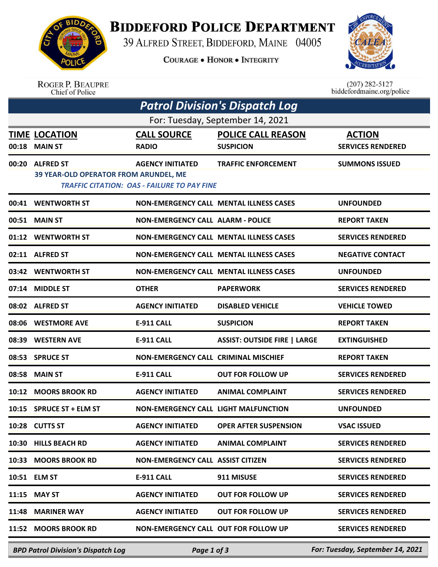

**BIDDEFORD POLICE DEPARTMENT** 

39 ALFRED STREET, BIDDEFORD, MAINE 04005

**COURAGE . HONOR . INTEGRITY** 



ROGER P. BEAUPRE<br>Chief of Police

 $(207)$  282-5127 biddefordmaine.org/police

| <b>Patrol Division's Dispatch Log</b> |                                                                                             |                                             |                                                |                                  |  |  |  |  |  |
|---------------------------------------|---------------------------------------------------------------------------------------------|---------------------------------------------|------------------------------------------------|----------------------------------|--|--|--|--|--|
| For: Tuesday, September 14, 2021      |                                                                                             |                                             |                                                |                                  |  |  |  |  |  |
|                                       | <b>TIME LOCATION</b>                                                                        | <b>CALL SOURCE</b>                          | <b>POLICE CALL REASON</b>                      | <b>ACTION</b>                    |  |  |  |  |  |
| 00:18                                 | <b>MAIN ST</b>                                                                              | <b>RADIO</b>                                | <b>SUSPICION</b>                               | <b>SERVICES RENDERED</b>         |  |  |  |  |  |
| 00:20                                 | <b>ALFRED ST</b>                                                                            | <b>AGENCY INITIATED</b>                     | <b>TRAFFIC ENFORCEMENT</b>                     | <b>SUMMONS ISSUED</b>            |  |  |  |  |  |
|                                       | 39 YEAR-OLD OPERATOR FROM ARUNDEL, ME<br><b>TRAFFIC CITATION: OAS - FAILURE TO PAY FINE</b> |                                             |                                                |                                  |  |  |  |  |  |
|                                       | 00:41 WENTWORTH ST                                                                          |                                             | <b>NON-EMERGENCY CALL MENTAL ILLNESS CASES</b> | <b>UNFOUNDED</b>                 |  |  |  |  |  |
| 00:51                                 | <b>MAIN ST</b>                                                                              | <b>NON-EMERGENCY CALL ALARM - POLICE</b>    |                                                | <b>REPORT TAKEN</b>              |  |  |  |  |  |
|                                       | 01:12 WENTWORTH ST                                                                          |                                             | <b>NON-EMERGENCY CALL MENTAL ILLNESS CASES</b> | <b>SERVICES RENDERED</b>         |  |  |  |  |  |
|                                       | 02:11 ALFRED ST                                                                             |                                             | <b>NON-EMERGENCY CALL MENTAL ILLNESS CASES</b> | <b>NEGATIVE CONTACT</b>          |  |  |  |  |  |
|                                       | 03:42 WENTWORTH ST                                                                          |                                             | <b>NON-EMERGENCY CALL MENTAL ILLNESS CASES</b> | <b>UNFOUNDED</b>                 |  |  |  |  |  |
| 07:14                                 | <b>MIDDLE ST</b>                                                                            | <b>OTHER</b>                                | <b>PAPERWORK</b>                               | <b>SERVICES RENDERED</b>         |  |  |  |  |  |
|                                       | 08:02 ALFRED ST                                                                             | <b>AGENCY INITIATED</b>                     | <b>DISABLED VEHICLE</b>                        | <b>VEHICLE TOWED</b>             |  |  |  |  |  |
| 08:06                                 | <b>WESTMORE AVE</b>                                                                         | <b>E-911 CALL</b>                           | <b>SUSPICION</b>                               | <b>REPORT TAKEN</b>              |  |  |  |  |  |
| 08:39                                 | <b>WESTERN AVE</b>                                                                          | <b>E-911 CALL</b>                           | <b>ASSIST: OUTSIDE FIRE   LARGE</b>            | <b>EXTINGUISHED</b>              |  |  |  |  |  |
| 08:53                                 | <b>SPRUCE ST</b>                                                                            | NON-EMERGENCY CALL CRIMINAL MISCHIEF        |                                                | <b>REPORT TAKEN</b>              |  |  |  |  |  |
| 08:58                                 | <b>MAIN ST</b>                                                                              | <b>E-911 CALL</b>                           | <b>OUT FOR FOLLOW UP</b>                       | <b>SERVICES RENDERED</b>         |  |  |  |  |  |
| 10:12                                 | <b>MOORS BROOK RD</b>                                                                       | <b>AGENCY INITIATED</b>                     | <b>ANIMAL COMPLAINT</b>                        | <b>SERVICES RENDERED</b>         |  |  |  |  |  |
| 10:15                                 | <b>SPRUCE ST + ELM ST</b>                                                                   | <b>NON-EMERGENCY CALL LIGHT MALFUNCTION</b> |                                                | <b>UNFOUNDED</b>                 |  |  |  |  |  |
|                                       | 10:28 CUTTS ST                                                                              | <b>AGENCY INITIATED</b>                     | <b>OPER AFTER SUSPENSION</b>                   | <b>VSAC ISSUED</b>               |  |  |  |  |  |
| 10:30                                 | <b>HILLS BEACH RD</b>                                                                       | <b>AGENCY INITIATED</b>                     | <b>ANIMAL COMPLAINT</b>                        | <b>SERVICES RENDERED</b>         |  |  |  |  |  |
| 10:33                                 | <b>MOORS BROOK RD</b>                                                                       | <b>NON-EMERGENCY CALL ASSIST CITIZEN</b>    |                                                | <b>SERVICES RENDERED</b>         |  |  |  |  |  |
| 10:51                                 | <b>ELM ST</b>                                                                               | <b>E-911 CALL</b>                           | 911 MISUSE                                     | <b>SERVICES RENDERED</b>         |  |  |  |  |  |
| 11:15                                 | <b>MAY ST</b>                                                                               | <b>AGENCY INITIATED</b>                     | <b>OUT FOR FOLLOW UP</b>                       | <b>SERVICES RENDERED</b>         |  |  |  |  |  |
| 11:48                                 | <b>MARINER WAY</b>                                                                          | <b>AGENCY INITIATED</b>                     | <b>OUT FOR FOLLOW UP</b>                       | <b>SERVICES RENDERED</b>         |  |  |  |  |  |
| 11:52                                 | <b>MOORS BROOK RD</b>                                                                       | NON-EMERGENCY CALL OUT FOR FOLLOW UP        |                                                | <b>SERVICES RENDERED</b>         |  |  |  |  |  |
|                                       | <b>BPD Patrol Division's Dispatch Log</b>                                                   | Page 1 of 3                                 |                                                | For: Tuesday, September 14, 2021 |  |  |  |  |  |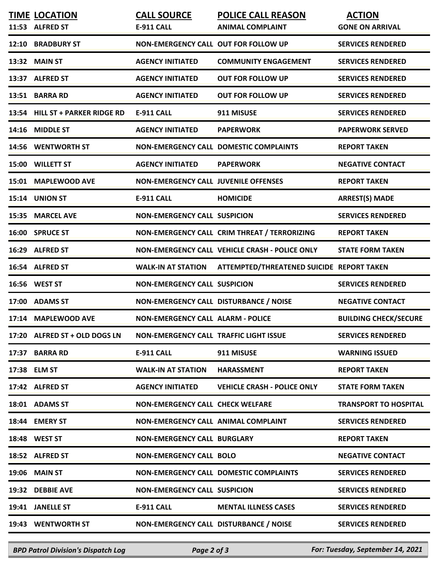| <b>TIME LOCATION</b>            | <b>CALL SOURCE</b>                            | <b>POLICE CALL REASON</b>                      | <b>ACTION</b>                |
|---------------------------------|-----------------------------------------------|------------------------------------------------|------------------------------|
| 11:53 ALFRED ST                 | <b>E-911 CALL</b>                             | <b>ANIMAL COMPLAINT</b>                        | <b>GONE ON ARRIVAL</b>       |
| 12:10 BRADBURY ST               | NON-EMERGENCY CALL OUT FOR FOLLOW UP          |                                                | <b>SERVICES RENDERED</b>     |
| 13:32 MAIN ST                   | <b>AGENCY INITIATED</b>                       | <b>COMMUNITY ENGAGEMENT</b>                    | <b>SERVICES RENDERED</b>     |
| 13:37 ALFRED ST                 | <b>AGENCY INITIATED</b>                       | <b>OUT FOR FOLLOW UP</b>                       | <b>SERVICES RENDERED</b>     |
| 13:51 BARRA RD                  | <b>AGENCY INITIATED</b>                       | <b>OUT FOR FOLLOW UP</b>                       | <b>SERVICES RENDERED</b>     |
| 13:54 HILL ST + PARKER RIDGE RD | <b>E-911 CALL</b>                             | 911 MISUSE                                     | <b>SERVICES RENDERED</b>     |
| 14:16 MIDDLE ST                 | <b>AGENCY INITIATED</b>                       | <b>PAPERWORK</b>                               | <b>PAPERWORK SERVED</b>      |
| 14:56 WENTWORTH ST              |                                               | NON-EMERGENCY CALL DOMESTIC COMPLAINTS         | <b>REPORT TAKEN</b>          |
| 15:00 WILLETT ST                | <b>AGENCY INITIATED</b>                       | <b>PAPERWORK</b>                               | <b>NEGATIVE CONTACT</b>      |
| 15:01 MAPLEWOOD AVE             | <b>NON-EMERGENCY CALL JUVENILE OFFENSES</b>   |                                                | <b>REPORT TAKEN</b>          |
| 15:14 UNION ST                  | <b>E-911 CALL</b>                             | <b>HOMICIDE</b>                                | <b>ARREST(S) MADE</b>        |
| 15:35 MARCEL AVE                | <b>NON-EMERGENCY CALL SUSPICION</b>           |                                                | <b>SERVICES RENDERED</b>     |
| 16:00 SPRUCE ST                 |                                               | NON-EMERGENCY CALL CRIM THREAT / TERRORIZING   | <b>REPORT TAKEN</b>          |
| 16:29 ALFRED ST                 |                                               | NON-EMERGENCY CALL VEHICLE CRASH - POLICE ONLY | <b>STATE FORM TAKEN</b>      |
| 16:54 ALFRED ST                 | <b>WALK-IN AT STATION</b>                     | ATTEMPTED/THREATENED SUICIDE REPORT TAKEN      |                              |
| 16:56 WEST ST                   | <b>NON-EMERGENCY CALL SUSPICION</b>           |                                                | <b>SERVICES RENDERED</b>     |
| 17:00 ADAMS ST                  | NON-EMERGENCY CALL DISTURBANCE / NOISE        |                                                | <b>NEGATIVE CONTACT</b>      |
| 17:14 MAPLEWOOD AVE             | <b>NON-EMERGENCY CALL ALARM - POLICE</b>      |                                                | <b>BUILDING CHECK/SECURE</b> |
| 17:20 ALFRED ST + OLD DOGS LN   | <b>NON-EMERGENCY CALL TRAFFIC LIGHT ISSUE</b> |                                                | <b>SERVICES RENDERED</b>     |
| 17:37 BARRA RD                  | <b>E-911 CALL</b>                             | 911 MISUSE                                     | <b>WARNING ISSUED</b>        |
| 17:38 ELM ST                    | <b>WALK-IN AT STATION</b>                     | <b>HARASSMENT</b>                              | <b>REPORT TAKEN</b>          |
| 17:42 ALFRED ST                 | <b>AGENCY INITIATED</b>                       | <b>VEHICLE CRASH - POLICE ONLY</b>             | <b>STATE FORM TAKEN</b>      |
| 18:01 ADAMS ST                  | <b>NON-EMERGENCY CALL CHECK WELFARE</b>       |                                                | <b>TRANSPORT TO HOSPITAL</b> |
| 18:44 EMERY ST                  | <b>NON-EMERGENCY CALL ANIMAL COMPLAINT</b>    |                                                | <b>SERVICES RENDERED</b>     |
| 18:48 WEST ST                   | <b>NON-EMERGENCY CALL BURGLARY</b>            |                                                | <b>REPORT TAKEN</b>          |
| 18:52 ALFRED ST                 | <b>NON-EMERGENCY CALL BOLO</b>                |                                                | <b>NEGATIVE CONTACT</b>      |
| <b>19:06 MAIN ST</b>            |                                               | <b>NON-EMERGENCY CALL DOMESTIC COMPLAINTS</b>  | <b>SERVICES RENDERED</b>     |
| 19:32 DEBBIE AVE                | <b>NON-EMERGENCY CALL SUSPICION</b>           |                                                | <b>SERVICES RENDERED</b>     |
| 19:41 JANELLE ST                | <b>E-911 CALL</b>                             | <b>MENTAL ILLNESS CASES</b>                    | <b>SERVICES RENDERED</b>     |
| 19:43 WENTWORTH ST              | NON-EMERGENCY CALL DISTURBANCE / NOISE        |                                                | <b>SERVICES RENDERED</b>     |

*BPD Patrol Division's Dispatch Log Page 2 of 3 For: Tuesday, September 14, 2021*